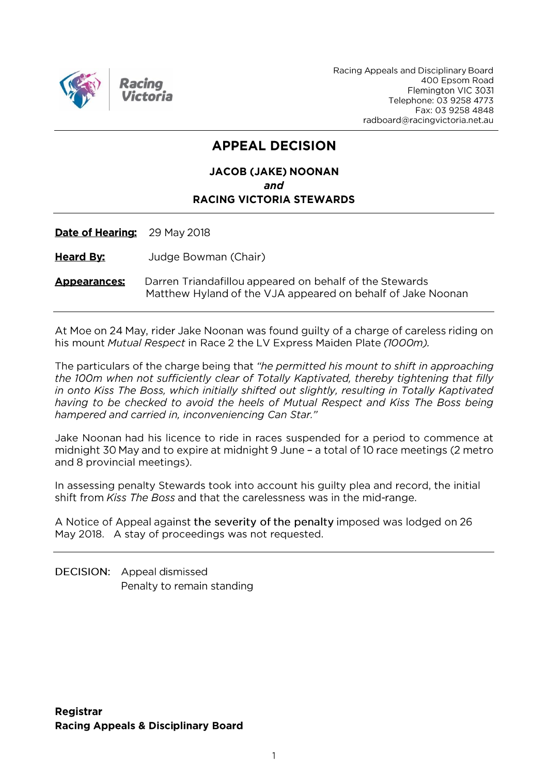

Racing Appeals and Disciplinary Board 400 Epsom Road Flemington VIC 3031 Telephone: 03 9258 4773 Fax: 03 9258 4848 radboard@racingvictoria.net.au

## **APPEAL DECISION**

#### **JACOB (JAKE) NOONAN** and **RACING VICTORIA STEWARDS**

Date of Hearing: 29 May 2018

**Heard By:** Judge Bowman (Chair)

**Appearances:** Darren Triandafillou appeared on behalf of the Stewards Matthew Hyland of the VJA appeared on behalf of Jake Noonan

At Moe on 24 May, rider Jake Noonan was found guilty of a charge of careless riding on his mount Mutual Respect in Race 2 the LV Express Maiden Plate (1000m).

The particulars of the charge being that "he permitted his mount to shift in approaching the 100m when not sufficiently clear of Totally Kaptivated, thereby tightening that filly in onto Kiss The Boss, which initially shifted out slightly, resulting in Totally Kaptivated having to be checked to avoid the heels of Mutual Respect and Kiss The Boss being hampered and carried in, inconveniencing Can Star."

Jake Noonan had his licence to ride in races suspended for a period to commence at midnight 30 May and to expire at midnight 9 June - a total of 10 race meetings (2 metro and 8 provincial meetings).

In assessing penalty Stewards took into account his guilty plea and record, the initial shift from Kiss The Boss and that the carelessness was in the mid-range.

A Notice of Appeal against the severity of the penalty imposed was lodged on 26 May 2018. A stay of proceedings was not requested.

DECISION: Appeal dismissed Penalty to remain standing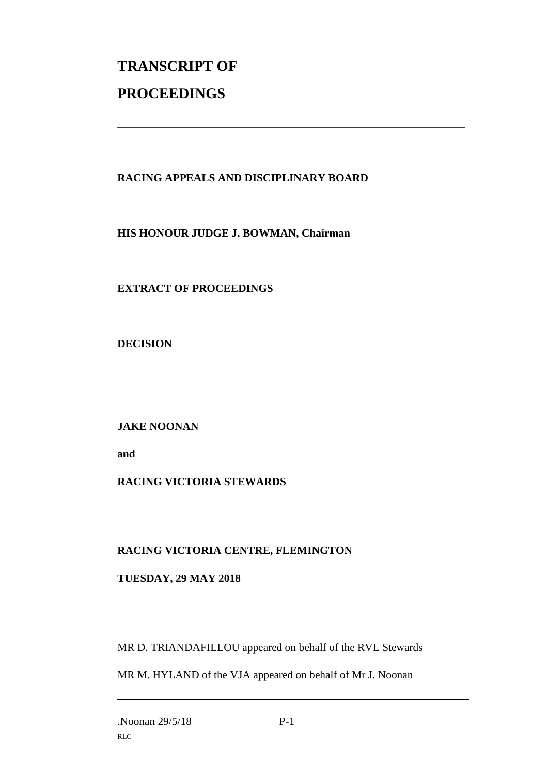# **TRANSCRIPT OF PROCEEDINGS**

#### **RACING APPEALS AND DISCIPLINARY BOARD**

\_\_\_\_\_\_\_\_\_\_\_\_\_\_\_\_\_\_\_\_\_\_\_\_\_\_\_\_\_\_\_\_\_\_\_\_\_\_\_\_\_\_\_\_\_\_\_\_\_\_\_\_\_\_\_\_\_\_\_\_\_\_\_

**HIS HONOUR JUDGE J. BOWMAN, Chairman**

**EXTRACT OF PROCEEDINGS**

**DECISION**

**JAKE NOONAN**

**and** 

### **RACING VICTORIA STEWARDS**

#### **RACING VICTORIA CENTRE, FLEMINGTON**

#### **TUESDAY, 29 MAY 2018**

MR D. TRIANDAFILLOU appeared on behalf of the RVL Stewards

MR M. HYLAND of the VJA appeared on behalf of Mr J. Noonan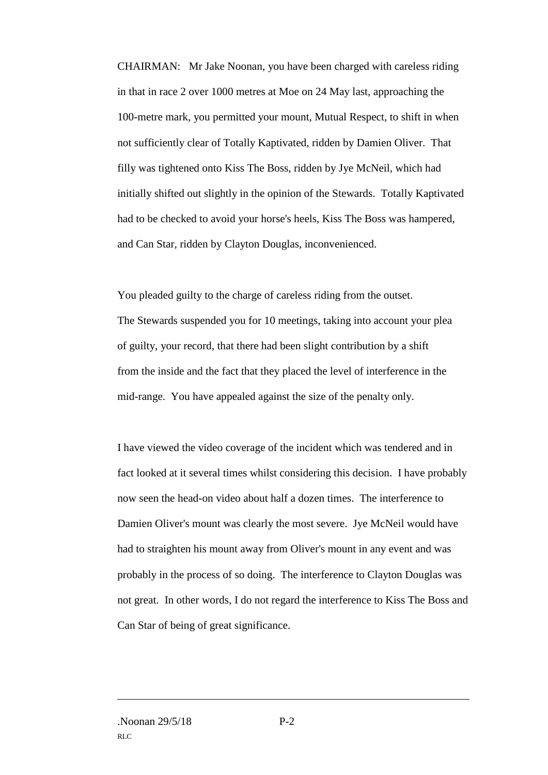CHAIRMAN: Mr Jake Noonan, you have been charged with careless riding in that in race 2 over 1000 metres at Moe on 24 May last, approaching the 100-metre mark, you permitted your mount, Mutual Respect, to shift in when not sufficiently clear of Totally Kaptivated, ridden by Damien Oliver. That filly was tightened onto Kiss The Boss, ridden by Jye McNeil, which had initially shifted out slightly in the opinion of the Stewards. Totally Kaptivated had to be checked to avoid your horse's heels, Kiss The Boss was hampered, and Can Star, ridden by Clayton Douglas, inconvenienced.

You pleaded guilty to the charge of careless riding from the outset. The Stewards suspended you for 10 meetings, taking into account your plea of guilty, your record, that there had been slight contribution by a shift from the inside and the fact that they placed the level of interference in the mid-range. You have appealed against the size of the penalty only.

I have viewed the video coverage of the incident which was tendered and in fact looked at it several times whilst considering this decision. I have probably now seen the head-on video about half a dozen times. The interference to Damien Oliver's mount was clearly the most severe. Jye McNeil would have had to straighten his mount away from Oliver's mount in any event and was probably in the process of so doing. The interference to Clayton Douglas was not great. In other words, I do not regard the interference to Kiss The Boss and Can Star of being of great significance.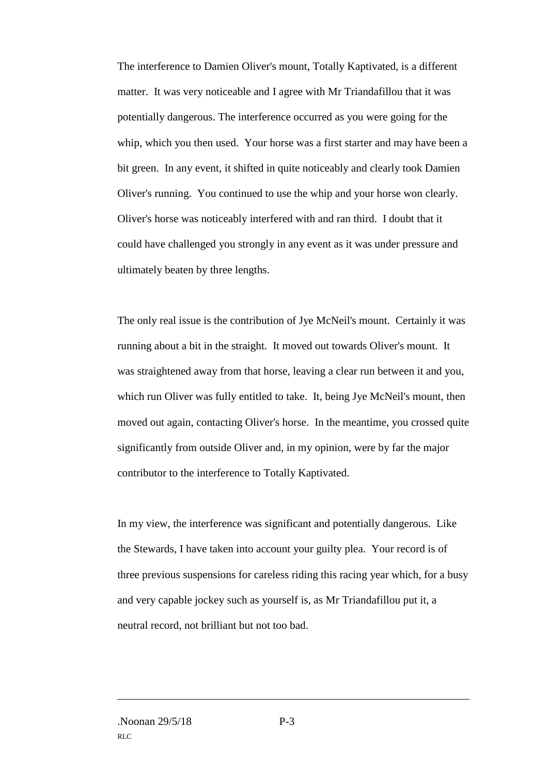The interference to Damien Oliver's mount, Totally Kaptivated, is a different matter. It was very noticeable and I agree with Mr Triandafillou that it was potentially dangerous. The interference occurred as you were going for the whip, which you then used. Your horse was a first starter and may have been a bit green. In any event, it shifted in quite noticeably and clearly took Damien Oliver's running. You continued to use the whip and your horse won clearly. Oliver's horse was noticeably interfered with and ran third. I doubt that it could have challenged you strongly in any event as it was under pressure and ultimately beaten by three lengths.

The only real issue is the contribution of Jye McNeil's mount. Certainly it was running about a bit in the straight. It moved out towards Oliver's mount. It was straightened away from that horse, leaving a clear run between it and you, which run Oliver was fully entitled to take. It, being Jye McNeil's mount, then moved out again, contacting Oliver's horse. In the meantime, you crossed quite significantly from outside Oliver and, in my opinion, were by far the major contributor to the interference to Totally Kaptivated.

In my view, the interference was significant and potentially dangerous. Like the Stewards, I have taken into account your guilty plea. Your record is of three previous suspensions for careless riding this racing year which, for a busy and very capable jockey such as yourself is, as Mr Triandafillou put it, a neutral record, not brilliant but not too bad.